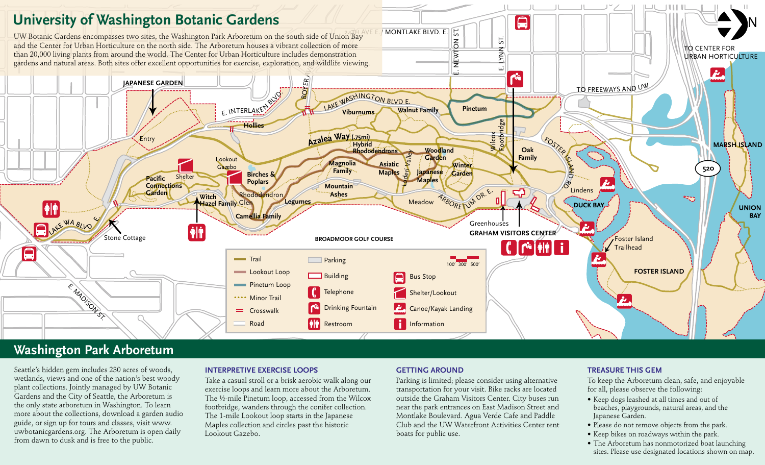

## **Washington Park Arboretum**

Seattle's hidden gem includes 230 acres of woods, wetlands, views and one of the nation's best woody plant collections. Jointly managed by UW Botanic Gardens and the City of Seattle, the Arboretum is the only state arboretum in Washington. To learn more about the collections, download a garden audio guide, or sign up for tours and classes, visit www. uwbotanicgardens.org. The Arboretum is open daily from dawn to dusk and is free to the public.

#### **INTERPRETIVE EXERCISE LOOPS**

Take a casual stroll or a brisk aerobic walk along our exercise loops and learn more about the Arboretum. The ½-mile Pinetum loop, accessed from the Wilcox footbridge, wanders through the conifer collection. The 1-mile Lookout loop starts in the Japanese Maples collection and circles past the historic Lookout Gazebo.

#### **GETTING AROUND**

Parking is limited; please consider using alternative transportation for your visit. Bike racks are located outside the Graham Visitors Center. City buses run near the park entrances on East Madison Street and Montlake Boulevard. Agua Verde Cafe and Paddle Club and the UW Waterfront Activities Center rent boats for public use.

### **Treasure this gem**

To keep the Arboretum clean, safe, and enjoyable for all, please observe the following:

- Keep dogs leashed at all times and out of beaches, playgrounds, natural areas, and the Japanese Garden.
- Please do not remove objects from the park.
- Keep bikes on roadways within the park.
- The Arboretum has nonmotorized boat launching sites. Please use designated locations shown on map.